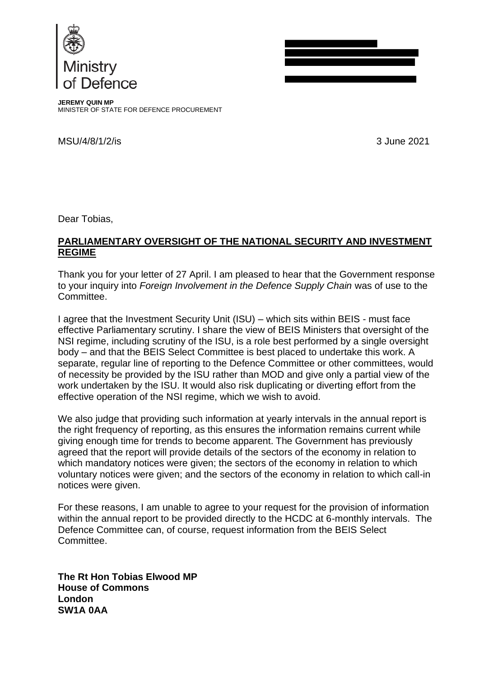



**JEREMY QUIN MP** MINISTER OF STATE FOR DEFENCE PROCUREMENT

MSU/4/8/1/2/is 3 June 2021

Dear Tobias,

## **PARLIAMENTARY OVERSIGHT OF THE NATIONAL SECURITY AND INVESTMENT REGIME**

Thank you for your letter of 27 April. I am pleased to hear that the Government response to your inquiry into *Foreign Involvement in the Defence Supply Chain* was of use to the Committee.

I agree that the Investment Security Unit (ISU) – which sits within BEIS - must face effective Parliamentary scrutiny. I share the view of BEIS Ministers that oversight of the NSI regime, including scrutiny of the ISU, is a role best performed by a single oversight body – and that the BEIS Select Committee is best placed to undertake this work. A separate, regular line of reporting to the Defence Committee or other committees, would of necessity be provided by the ISU rather than MOD and give only a partial view of the work undertaken by the ISU. It would also risk duplicating or diverting effort from the effective operation of the NSI regime, which we wish to avoid.

We also judge that providing such information at yearly intervals in the annual report is the right frequency of reporting, as this ensures the information remains current while giving enough time for trends to become apparent. The Government has previously agreed that the report will provide details of the sectors of the economy in relation to which mandatory notices were given; the sectors of the economy in relation to which voluntary notices were given; and the sectors of the economy in relation to which call-in notices were given.

For these reasons, I am unable to agree to your request for the provision of information within the annual report to be provided directly to the HCDC at 6-monthly intervals. The Defence Committee can, of course, request information from the BEIS Select Committee.

**The Rt Hon Tobias Elwood MP House of Commons London SW1A 0AA**